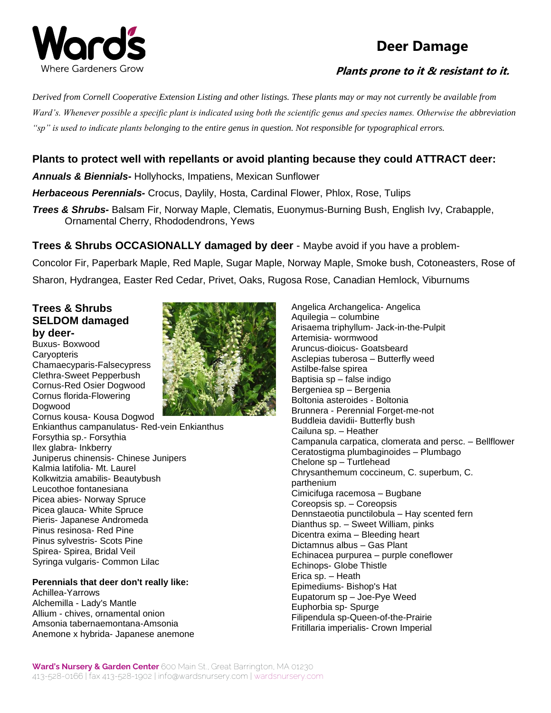

# **Deer Damage**

### **Plants prone to it & resistant to it.**

*Derived from Cornell Cooperative Extension Listing and other listings. These plants may or may not currently be available from Ward's. Whenever possible a specific plant is indicated using both the scientific genus and species names. Otherwise the abbreviation "sp" is used to indicate plants belonging to the entire genus in question. Not responsible for typographical errors.*

## **Plants to protect well with repellants or avoid planting because they could ATTRACT deer:**

*Annuals & Biennials***-** Hollyhocks, Impatiens, Mexican Sunflower

*Herbaceous Perennials-* Crocus, Daylily, Hosta, Cardinal Flower, Phlox, Rose, Tulips

*Trees & Shrubs-* Balsam Fir, Norway Maple, Clematis, Euonymus-Burning Bush, English Ivy, Crabapple, Ornamental Cherry, Rhododendrons, Yews

**Trees & Shrubs OCCASIONALLY damaged by deer** - Maybe avoid if you have a problem-Concolor Fir, Paperbark Maple, Red Maple, Sugar Maple, Norway Maple, Smoke bush, Cotoneasters, Rose of Sharon, Hydrangea, Easter Red Cedar, Privet, Oaks, Rugosa Rose, Canadian Hemlock, Viburnums

### **Trees & Shrubs SELDOM damaged by deer-**

Buxus- Boxwood **Caryopteris** Chamaecyparis-Falsecypress Clethra-Sweet Pepperbush Cornus-Red Osier Dogwood Cornus florida-Flowering Dogwood



Cornus kousa- Kousa Dogwod Enkianthus campanulatus- Red-vein Enkianthus Forsythia sp.- Forsythia Ilex glabra- Inkberry Juniperus chinensis- Chinese Junipers Kalmia latifolia- Mt. Laurel Kolkwitzia amabilis- Beautybush Leucothoe fontanesiana Picea abies- Norway Spruce Picea glauca- White Spruce Pieris- Japanese Andromeda Pinus resinosa- Red Pine Pinus sylvestris- Scots Pine Spirea- Spirea, Bridal Veil Syringa vulgaris- Common Lilac

## **Perennials that deer don't really like:**

Achillea-Yarrows Alchemilla - Lady's Mantle Allium - chives, ornamental onion Amsonia tabernaemontana-Amsonia Anemone x hybrida- Japanese anemone Angelica Archangelica- Angelica Aquilegia – columbine Arisaema triphyllum- Jack-in-the-Pulpit Artemisia- wormwood Aruncus-dioicus- Goatsbeard Asclepias tuberosa – Butterfly weed Astilbe-false spirea Baptisia sp – false indigo Bergeniea sp – Bergenia Boltonia asteroides - Boltonia Brunnera - Perennial Forget-me-not Buddleia davidii- Butterfly bush Cailuna sp. – Heather Campanula carpatica, clomerata and persc. – Bellflower Ceratostigma plumbaginoides – Plumbago Chelone sp – Turtlehead Chrysanthemum coccineum, C. superbum, C. parthenium Cimicifuga racemosa – Bugbane Coreopsis sp. – Coreopsis Dennstaeotia punctilobula – Hay scented fern Dianthus sp. – Sweet William, pinks Dicentra exima – Bleeding heart Dictamnus albus – Gas Plant Echinacea purpurea – purple coneflower Echinops- Globe Thistle Erica sp. – Heath Epimediums- Bishop's Hat Eupatorum sp – Joe-Pye Weed Euphorbia sp- Spurge Filipendula sp-Queen-of-the-Prairie Fritillaria imperialis- Crown Imperial